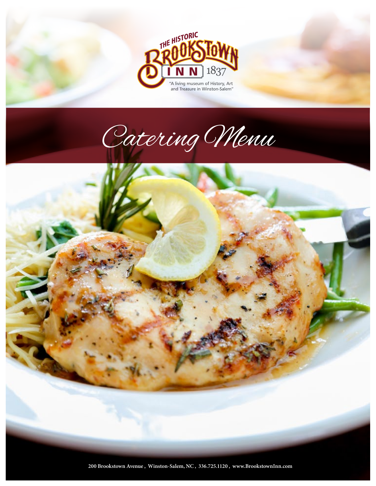





**200 Brookstown Avenue , Winston-Salem, NC , 336.725.1120 , www.BrookstownInn.com**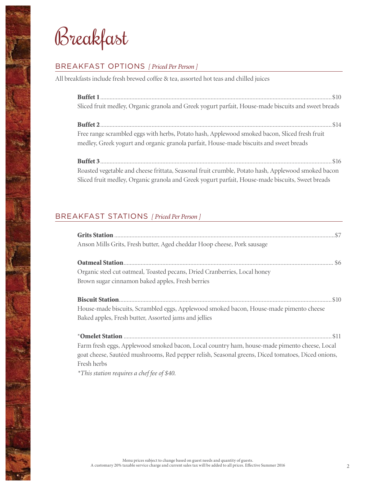Breakfast

# BREAKFAST OPTIONS *[ Priced Per Person ]*

All breakfasts include fresh brewed coffee & tea, assorted hot teas and chilled juices

| Sliced fruit medley, Organic granola and Greek yogurt parfait, House-made biscuits and sweet breads                                                                                     |
|-----------------------------------------------------------------------------------------------------------------------------------------------------------------------------------------|
|                                                                                                                                                                                         |
| Free range scrambled eggs with herbs, Potato hash, Applewood smoked bacon, Sliced fresh fruit<br>medley, Greek yogurt and organic granola parfait, House-made biscuits and sweet breads |
|                                                                                                                                                                                         |
| Roasted vegetable and cheese frittata, Seasonal fruit crumble, Potato hash, Applewood smoked bacon                                                                                      |
| Sliced fruit medley, Organic granola and Greek yogurt parfait, House-made biscuits, Sweet breads                                                                                        |

# BREAKFAST STATIONS *[ Priced Per Person ]*

| Anson Mills Grits, Fresh butter, Aged cheddar Hoop cheese, Pork sausage                           |
|---------------------------------------------------------------------------------------------------|
|                                                                                                   |
|                                                                                                   |
| Organic steel cut oatmeal, Toasted pecans, Dried Cranberries, Local honey                         |
| Brown sugar cinnamon baked apples, Fresh berries                                                  |
|                                                                                                   |
|                                                                                                   |
| House-made biscuits, Scrambled eggs, Applewood smoked bacon, House-made pimento cheese            |
| Baked apples, Fresh butter, Assorted jams and jellies                                             |
|                                                                                                   |
|                                                                                                   |
| Farm fresh eggs, Applewood smoked bacon, Local country ham, house-made pimento cheese, Local      |
| goat cheese, Sautéed mushrooms, Red pepper relish, Seasonal greens, Diced tomatoes, Diced onions, |
| Fresh herbs                                                                                       |

*\*This station requires a chef fee of \$40.*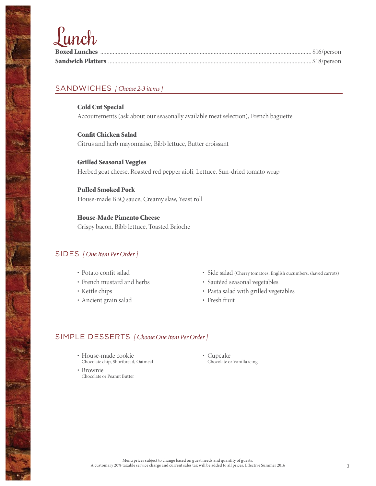# Lunch

| and the second second second second second second second second second second second second second second second second second second second second second second second second second second second second second second seco |  |
|--------------------------------------------------------------------------------------------------------------------------------------------------------------------------------------------------------------------------------|--|
|                                                                                                                                                                                                                                |  |

### SANDWICHES *[ Choose 2-3 items ]*

Cold Cut Special Accoutrements (ask about our seasonally available meat selection), French baguette

Confit Chicken Salad Citrus and herb mayonnaise, Bibb lettuce, Butter croissant

Grilled Seasonal Veggies Herbed goat cheese, Roasted red pepper aioli, Lettuce, Sun-dried tomato wrap

Pulled Smoked Pork House-made BBQ sauce, Creamy slaw, Yeast roll

House-Made Pimento Cheese Crispy bacon, Bibb lettuce, Toasted Brioche

#### SIDES *[ One Item Per Order ]*

- Potato confit salad
- French mustard and herbs
- Kettle chips
- Ancient grain salad
- Side salad (Cherry tomatoes, English cucumbers, shaved carrots)
- Sautéed seasonal vegetables
- Pasta salad with grilled vegetables
- Fresh fruit

#### SIMPLE DESSERTS *[ Choose One Item Per Order ]*

- House-made cookie Chocolate chip, Shortbread, Oatmeal
- Brownie Chocolate or Peanut Butter

eran<br>M

• Cupcake Chocolate or Vanilla icing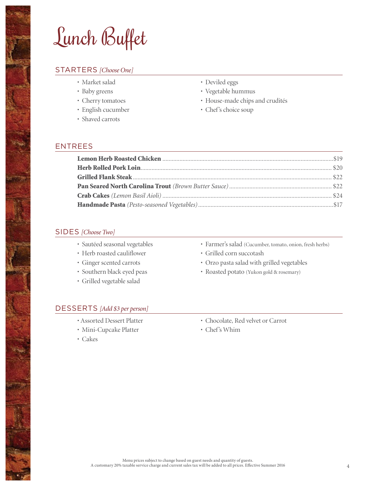Lunch Buffet

#### STARTERS *[Choose One]*

- Market salad
- Baby greens
- Cherry tomatoes
- English cucumber
- Shaved carrots
- Deviled eggs
- Vegetable hummus
- House-made chips and crudités
- Chef's choice soup

#### ENTREES

#### SIDES *[Choose Two]*

- Sautéed seasonal vegetables
- Herb roasted cauliflower
- Ginger scented carrots
- Southern black eyed peas
- Grilled vegetable salad
- Farmer's salad (Cucumber, tomato, onion, fresh herbs)
- Grilled corn succotash
- Orzo pasta salad with grilled vegetables
- Roasted potato (Yukon gold & rosemary)

#### DESSERTS *[Add \$3 per person]*

- Assorted Dessert Platter
- Mini-Cupcake Platter
- Cakes
- Chocolate, Red velvet or Carrot
- Chef's Whim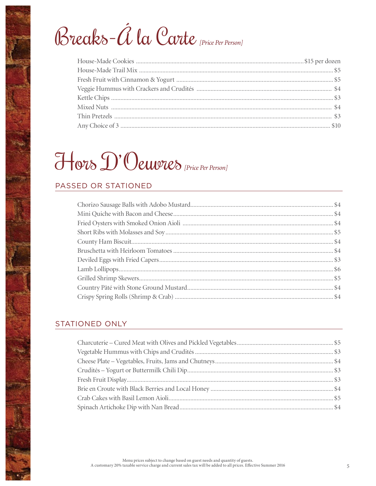# Breaks-Á la Carte [Price Per Person]

# Hors D'Oeuvres (Price Per Person)

# PASSED OR STATIONED

# **STATIONED ONLY**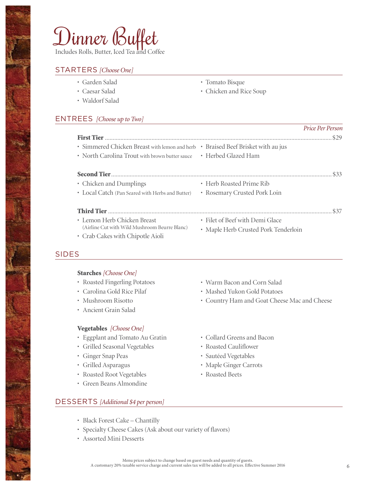# Dinner Buffet

Includes Rolls, Butter, Iced Tea and Coffee

#### STARTERS *[Choose One]*

- Garden Salad
- Caesar Salad
- Waldorf Salad
- Tomato Bisque
- Chicken and Rice Soup

# ENTREES *[Choose up to Two]*

|                                                                                  |                                      | Price Per Person |
|----------------------------------------------------------------------------------|--------------------------------------|------------------|
|                                                                                  |                                      |                  |
| · Simmered Chicken Breast with lemon and herb • Braised Beef Brisket with au jus |                                      |                  |
| • North Carolina Trout with brown butter sauce • Herbed Glazed Ham               |                                      |                  |
|                                                                                  |                                      |                  |
| • Chicken and Dumplings                                                          | • Herb Roasted Prime Rib             |                  |
| • Local Catch (Pan Seared with Herbs and Butter)                                 | • Rosemary Crusted Pork Loin         |                  |
|                                                                                  |                                      | \$37             |
| • Lemon Herb Chicken Breast                                                      | · Filet of Beef with Demi Glace      |                  |
| (Airline Cut with Wild Mushroom Beurre Blanc)                                    | • Maple Herb Crusted Pork Tenderloin |                  |
| • Crab Cakes with Chipotle Aioli                                                 |                                      |                  |

# SIDES

#### Starches *[Choose One]*

- Roasted Fingerling Potatoes
- Carolina Gold Rice Pilaf
- Mushroom Risotto
- Ancient Grain Salad

#### Vegetables *[Choose One]*

- Eggplant and Tomato Au Gratin
- Grilled Seasonal Vegetables
- Ginger Snap Peas
- Grilled Asparagus
- Roasted Root Vegetables
- Green Beans Almondine
- Warm Bacon and Corn Salad
- Mashed Yukon Gold Potatoes
- Country Ham and Goat Cheese Mac and Cheese
- Collard Greens and Bacon
- Roasted Cauliflower
- Sautéed Vegetables
- Maple Ginger Carrots
- Roasted Beets

# DESSERTS *[Additional \$4 per person]*

- Black Forest Cake Chantilly
- Specialty Cheese Cakes (Ask about our variety of flavors)
- Assorted Mini Desserts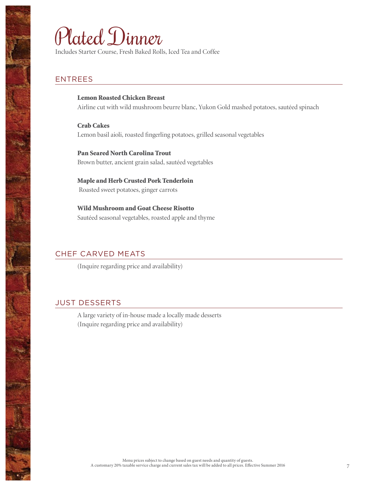# Plated Dinner

Includes Starter Course, Fresh Baked Rolls, Iced Tea and Coffee

# ENTREES

Lemon Roasted Chicken Breast Airline cut with wild mushroom beurre blanc, Yukon Gold mashed potatoes, sautéed spinach

Crab Cakes Lemon basil aioli, roasted fingerling potatoes, grilled seasonal vegetables

Pan Seared North Carolina Trout Brown butter, ancient grain salad, sautéed vegetables

Maple and Herb Crusted Pork Tenderloin Roasted sweet potatoes, ginger carrots

Wild Mushroom and Goat Cheese Risotto Sautéed seasonal vegetables, roasted apple and thyme

# CHEF CARVED MEATS

(Inquire regarding price and availability)

# JUST DESSERTS

A large variety of in-house made a locally made desserts (Inquire regarding price and availability)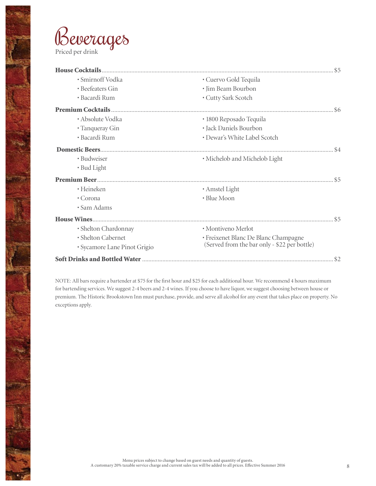

erong<br>Ang

| · Smirnoff Vodka             | · Cuervo Gold Tequila                        |  |
|------------------------------|----------------------------------------------|--|
| • Beefeaters Gin             | · Jim Beam Bourbon                           |  |
| • Bacardi Rum                | • Cutty Sark Scotch                          |  |
|                              |                                              |  |
| • Absolute Vodka             | · 1800 Reposado Tequila                      |  |
| • Tanqueray Gin              | · Jack Daniels Bourbon                       |  |
| • Bacardi Rum                | • Dewar's White Label Scotch                 |  |
|                              |                                              |  |
| · Budweiser                  | • Michelob and Michelob Light                |  |
| • Bud Light                  |                                              |  |
|                              |                                              |  |
| • Heineken                   | • Amstel Light                               |  |
| • Corona                     | • Blue Moon                                  |  |
| • Sam Adams                  |                                              |  |
|                              |                                              |  |
| · Shelton Chardonnay         | · Montiveno Merlot                           |  |
| · Shelton Cabernet           | • Freixenet Blanc De Blanc Champagne         |  |
| · Sycamore Lane Pinot Grigio | (Served from the bar only - \$22 per bottle) |  |
|                              |                                              |  |

NOTE: All bars require a bartender at \$75 for the first hour and \$25 for each additional hour. We recommend 4 hours maximum for bartending services. We suggest 2-4 beers and 2-4 wines. If you choose to have liquor, we suggest choosing between house or premium. The Historic Brookstown Inn must purchase, provide, and serve all alcohol for any event that takes place on property. No exceptions apply.